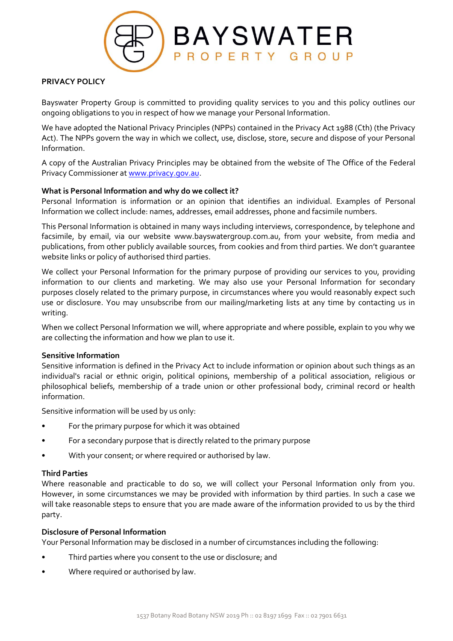

# **PRIVACY POLICY**

Bayswater Property Group is committed to providing quality services to you and this policy outlines our ongoing obligations to you in respect of how we manage your Personal Information.

We have adopted the National Privacy Principles (NPPs) contained in the Privacy Act 1988 (Cth) (the Privacy Act). The NPPs govern the way in which we collect, use, disclose, store, secure and dispose of your Personal Information.

A copy of the Australian Privacy Principles may be obtained from the website of The Office of the Federal Privacy Commissioner at [www.privacy.gov.au.](http://www.privacy.gov.au/)

### **What is Personal Information and why do we collect it?**

Personal Information is information or an opinion that identifies an individual. Examples of Personal Information we collect include: names, addresses, email addresses, phone and facsimile numbers.

This Personal Information is obtained in many ways including interviews, correspondence, by telephone and facsimile, by email, via our website www.bayswatergroup.com.au, from your website, from media and publications, from other publicly available sources, from cookies and from third parties. We don't guarantee website links or policy of authorised third parties.

We collect your Personal Information for the primary purpose of providing our services to you, providing information to our clients and marketing. We may also use your Personal Information for secondary purposes closely related to the primary purpose, in circumstances where you would reasonably expect such use or disclosure. You may unsubscribe from our mailing/marketing lists at any time by contacting us in writing.

When we collect Personal Information we will, where appropriate and where possible, explain to you why we are collecting the information and how we plan to use it.

#### **Sensitive Information**

Sensitive information is defined in the Privacy Act to include information or opinion about such things as an individual's racial or ethnic origin, political opinions, membership of a political association, religious or philosophical beliefs, membership of a trade union or other professional body, criminal record or health information.

Sensitive information will be used by us only:

- For the primary purpose for which it was obtained
- For a secondary purpose that is directly related to the primary purpose
- With your consent; or where required or authorised by law.

#### **Third Parties**

Where reasonable and practicable to do so, we will collect your Personal Information only from you. However, in some circumstances we may be provided with information by third parties. In such a case we will take reasonable steps to ensure that you are made aware of the information provided to us by the third party.

#### **Disclosure of Personal Information**

Your Personal Information may be disclosed in a number of circumstances including the following:

- Third parties where you consent to the use or disclosure; and
- Where required or authorised by law.